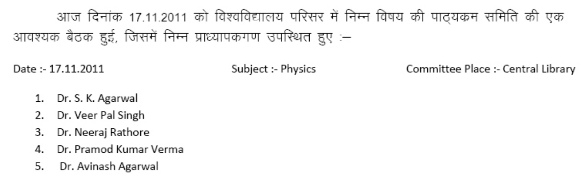# आज दिनांक 17.11.2011 को विश्वविद्यालय परिसर में निम्न विषय की पाठ्यकम समिति की एक आवश्यक बैठक हुई, जिसमें निम्न प्राध्यापकगण उपस्थित हुए :–

Date: 17.11.2011

Subject :- Physics

Committee Place :- Central Library

- Dr. S. K. Agarwal
- Dr. Veer Pal Singh
- Dr. Neeraj Rathore 3.
- Dr. Pramod Kumar Verma 4.
- Dr. Avinash Agarwal 5.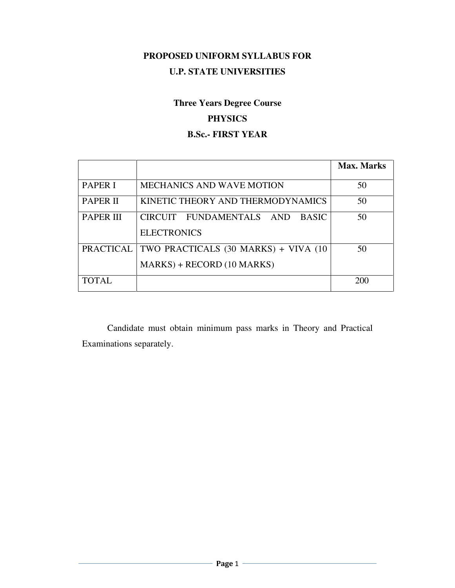# **PROPOSED UNIFORM SYLLABUS FOR U.P. STATE UNIVERSITIES**

# **Three Years Degree Course**

# **PHYSICS**

# **B.Sc.- FIRST YEAR**

|                  |                                                                     | Max. Marks |
|------------------|---------------------------------------------------------------------|------------|
| <b>PAPER I</b>   | <b>MECHANICS AND WAVE MOTION</b>                                    | 50         |
| <b>PAPER II</b>  | KINETIC THEORY AND THERMODYNAMICS                                   | 50         |
| <b>PAPER III</b> | CIRCUIT FUNDAMENTALS AND<br><b>BASIC</b><br><b>ELECTRONICS</b>      | 50         |
| PRACTICAL        | TWO PRACTICALS (30 MARKS) + VIVA (10<br>$MARKS$ + RECORD (10 MARKS) | 50         |
| <b>TOTAL</b>     |                                                                     | 200        |

 Candidate must obtain minimum pass marks in Theory and Practical Examinations separately.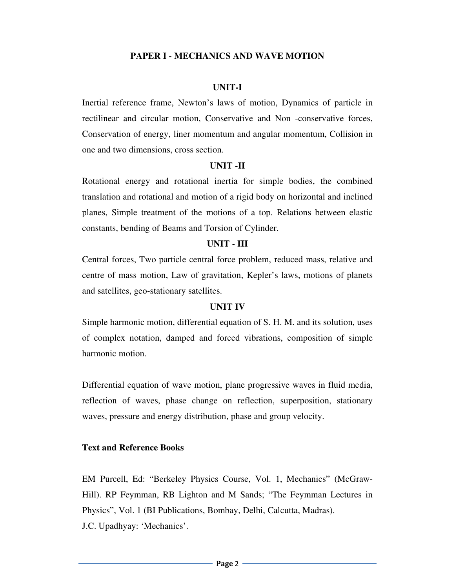### **PAPER I - MECHANICS AND WAVE MOTION**

#### **UNIT-I**

Inertial reference frame, Newton's laws of motion, Dynamics of particle in rectilinear and circular motion, Conservative and Non -conservative forces, Conservation of energy, liner momentum and angular momentum, Collision in one and two dimensions, cross section.

#### **UNIT -II**

Rotational energy and rotational inertia for simple bodies, the combined translation and rotational and motion of a rigid body on horizontal and inclined planes, Simple treatment of the motions of a top. Relations between elastic constants, bending of Beams and Torsion of Cylinder.

#### **UNIT - III**

Central forces, Two particle central force problem, reduced mass, relative and centre of mass motion, Law of gravitation, Kepler's laws, motions of planets and satellites, geo-stationary satellites.

#### **UNIT IV**

Simple harmonic motion, differential equation of S. H. M. and its solution, uses of complex notation, damped and forced vibrations, composition of simple harmonic motion.

Differential equation of wave motion, plane progressive waves in fluid media, reflection of waves, phase change on reflection, superposition, stationary waves, pressure and energy distribution, phase and group velocity.

#### **Text and Reference Books**

EM Purcell, Ed: "Berkeley Physics Course, Vol. 1, Mechanics" (McGraw-Hill). RP Feymman, RB Lighton and M Sands; "The Feymman Lectures in Physics", Vol. 1 (BI Publications, Bombay, Delhi, Calcutta, Madras). J.C. Upadhyay: 'Mechanics'.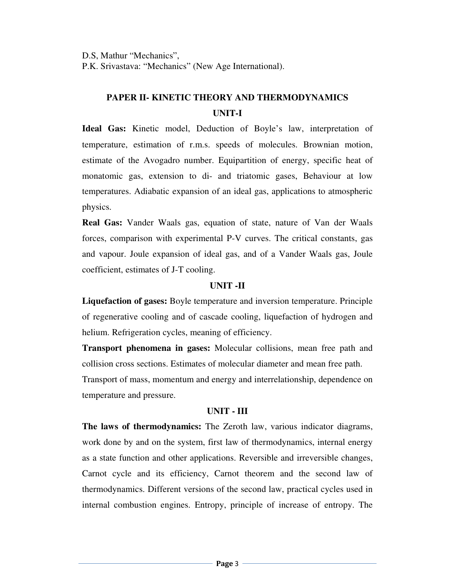D.S, Mathur "Mechanics",

P.K. Srivastava: "Mechanics" (New Age International).

# **PAPER II- KINETIC THEORY AND THERMODYNAMICS UNIT-I**

**Ideal Gas:** Kinetic model, Deduction of Boyle's law, interpretation of temperature, estimation of r.m.s. speeds of molecules. Brownian motion, estimate of the Avogadro number. Equipartition of energy, specific heat of monatomic gas, extension to di- and triatomic gases, Behaviour at low temperatures. Adiabatic expansion of an ideal gas, applications to atmospheric physics.

**Real Gas:** Vander Waals gas, equation of state, nature of Van der Waals forces, comparison with experimental P-V curves. The critical constants, gas and vapour. Joule expansion of ideal gas, and of a Vander Waals gas, Joule coefficient, estimates of J-T cooling.

### **UNIT -II**

**Liquefaction of gases:** Boyle temperature and inversion temperature. Principle of regenerative cooling and of cascade cooling, liquefaction of hydrogen and helium. Refrigeration cycles, meaning of efficiency.

**Transport phenomena in gases:** Molecular collisions, mean free path and collision cross sections. Estimates of molecular diameter and mean free path. Transport of mass, momentum and energy and interrelationship, dependence on temperature and pressure.

# **UNIT - III**

**The laws of thermodynamics:** The Zeroth law, various indicator diagrams, work done by and on the system, first law of thermodynamics, internal energy as a state function and other applications. Reversible and irreversible changes, Carnot cycle and its efficiency, Carnot theorem and the second law of thermodynamics. Different versions of the second law, practical cycles used in internal combustion engines. Entropy, principle of increase of entropy. The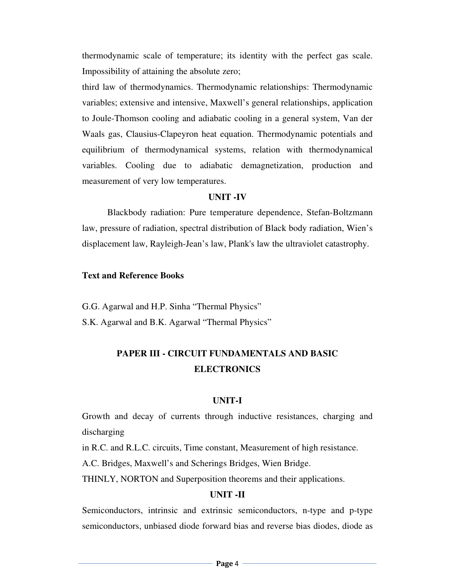thermodynamic scale of temperature; its identity with the perfect gas scale. Impossibility of attaining the absolute zero;

third law of thermodynamics. Thermodynamic relationships: Thermodynamic variables; extensive and intensive, Maxwell's general relationships, application to Joule-Thomson cooling and adiabatic cooling in a general system, Van der Waals gas, Clausius-Clapeyron heat equation. Thermodynamic potentials and equilibrium of thermodynamical systems, relation with thermodynamical variables. Cooling due to adiabatic demagnetization, production and measurement of very low temperatures.

#### **UNIT -IV**

 Blackbody radiation: Pure temperature dependence, Stefan-Boltzmann law, pressure of radiation, spectral distribution of Black body radiation, Wien's displacement law, Rayleigh-Jean's law, Plank's law the ultraviolet catastrophy.

#### **Text and Reference Books**

G.G. Agarwal and H.P. Sinha "Thermal Physics"

S.K. Agarwal and B.K. Agarwal "Thermal Physics"

# **PAPER III - CIRCUIT FUNDAMENTALS AND BASIC ELECTRONICS**

#### **UNIT-I**

Growth and decay of currents through inductive resistances, charging and discharging

in R.C. and R.L.C. circuits, Time constant, Measurement of high resistance.

A.C. Bridges, Maxwell's and Scherings Bridges, Wien Bridge.

THINLY, NORTON and Superposition theorems and their applications.

### **UNIT -II**

Semiconductors, intrinsic and extrinsic semiconductors, n-type and p-type semiconductors, unbiased diode forward bias and reverse bias diodes, diode as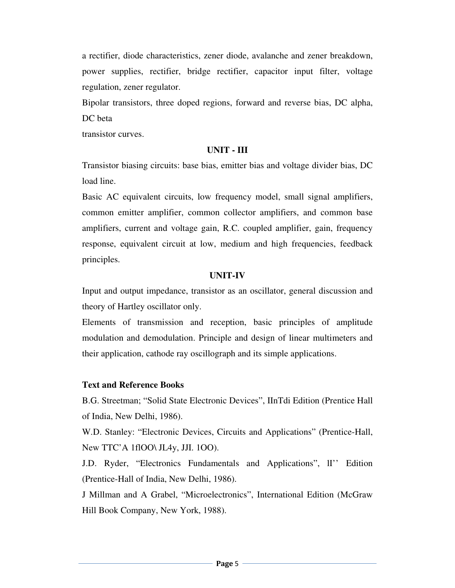a rectifier, diode characteristics, zener diode, avalanche and zener breakdown, power supplies, rectifier, bridge rectifier, capacitor input filter, voltage regulation, zener regulator.

Bipolar transistors, three doped regions, forward and reverse bias, DC alpha, DC beta

transistor curves.

#### **UNIT - III**

Transistor biasing circuits: base bias, emitter bias and voltage divider bias, DC load line.

Basic AC equivalent circuits, low frequency model, small signal amplifiers, common emitter amplifier, common collector amplifiers, and common base amplifiers, current and voltage gain, R.C. coupled amplifier, gain, frequency response, equivalent circuit at low, medium and high frequencies, feedback principles.

#### **UNIT-IV**

Input and output impedance, transistor as an oscillator, general discussion and theory of Hartley oscillator only.

Elements of transmission and reception, basic principles of amplitude modulation and demodulation. Principle and design of linear multimeters and their application, cathode ray oscillograph and its simple applications.

#### **Text and Reference Books**

B.G. Streetman; "Solid State Electronic Devices", IInTdi Edition (Prentice Hall of India, New Delhi, 1986).

W.D. Stanley: "Electronic Devices, Circuits and Applications" (Prentice-Hall, New TTC'A 1flOO\ JL4y, JJI. 1OO).

J.D. Ryder, "Electronics Fundamentals and Applications", lI'' Edition (Prentice-Hall of India, New Delhi, 1986).

J Millman and A Grabel, "Microelectronics", International Edition (McGraw Hill Book Company, New York, 1988).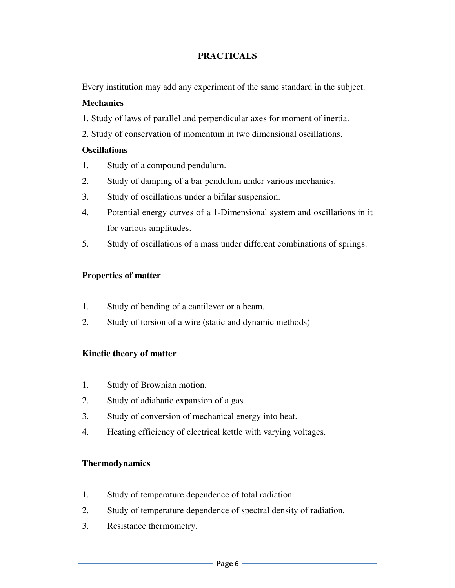# **PRACTICALS**

Every institution may add any experiment of the same standard in the subject.

# **Mechanics**

- 1. Study of laws of parallel and perpendicular axes for moment of inertia.
- 2. Study of conservation of momentum in two dimensional oscillations.

# **Oscillations**

- 1. Study of a compound pendulum.
- 2. Study of damping of a bar pendulum under various mechanics.
- 3. Study of oscillations under a bifilar suspension.
- 4. Potential energy curves of a 1-Dimensional system and oscillations in it for various amplitudes.
- 5. Study of oscillations of a mass under different combinations of springs.

# **Properties of matter**

- 1. Study of bending of a cantilever or a beam.
- 2. Study of torsion of a wire (static and dynamic methods)

# **Kinetic theory of matter**

- 1. Study of Brownian motion.
- 2. Study of adiabatic expansion of a gas.
- 3. Study of conversion of mechanical energy into heat.
- 4. Heating efficiency of electrical kettle with varying voltages.

# **Thermodynamics**

- 1. Study of temperature dependence of total radiation.
- 2. Study of temperature dependence of spectral density of radiation.
- 3. Resistance thermometry.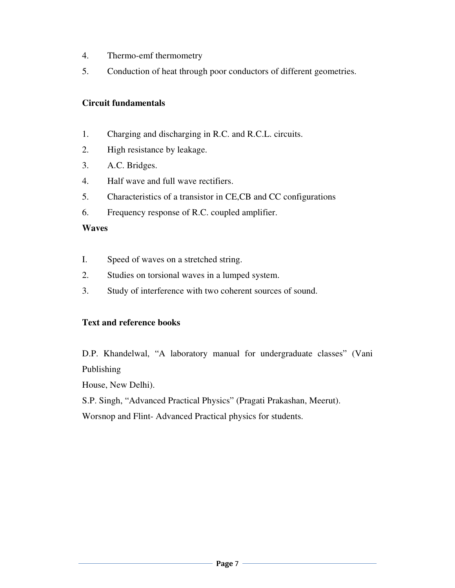- 4. Thermo-emf thermometry
- 5. Conduction of heat through poor conductors of different geometries.

# **Circuit fundamentals**

- 1. Charging and discharging in R.C. and R.C.L. circuits.
- 2. High resistance by leakage.
- 3. A.C. Bridges.
- 4. Half wave and full wave rectifiers.
- 5. Characteristics of a transistor in CE,CB and CC configurations
- 6. Frequency response of R.C. coupled amplifier.

# **Waves**

- I. Speed of waves on a stretched string.
- 2. Studies on torsional waves in a lumped system.
- 3. Study of interference with two coherent sources of sound.

# **Text and reference books**

D.P. Khandelwal, "A laboratory manual for undergraduate classes" (Vani Publishing

House, New Delhi).

S.P. Singh, "Advanced Practical Physics" (Pragati Prakashan, Meerut).

Worsnop and Flint- Advanced Practical physics for students.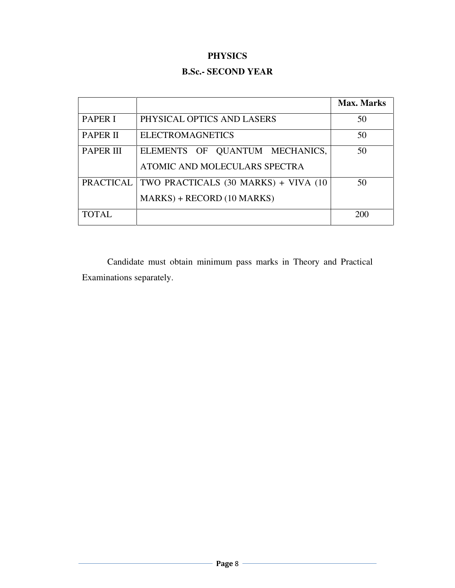# **PHYSICS**

# **B.Sc.- SECOND YEAR**

|                  |                                      | <b>Max. Marks</b> |
|------------------|--------------------------------------|-------------------|
| <b>PAPER I</b>   | PHYSICAL OPTICS AND LASERS           | 50                |
| <b>PAPER II</b>  | <b>ELECTROMAGNETICS</b>              | 50                |
| <b>PAPER III</b> | ELEMENTS OF QUANTUM MECHANICS,       | 50                |
|                  | ATOMIC AND MOLECULARS SPECTRA        |                   |
| <b>PRACTICAL</b> | TWO PRACTICALS (30 MARKS) + VIVA (10 | 50                |
|                  | MARKS) + RECORD (10 MARKS)           |                   |
| <b>TOTAL</b>     |                                      | 200               |

 Candidate must obtain minimum pass marks in Theory and Practical Examinations separately.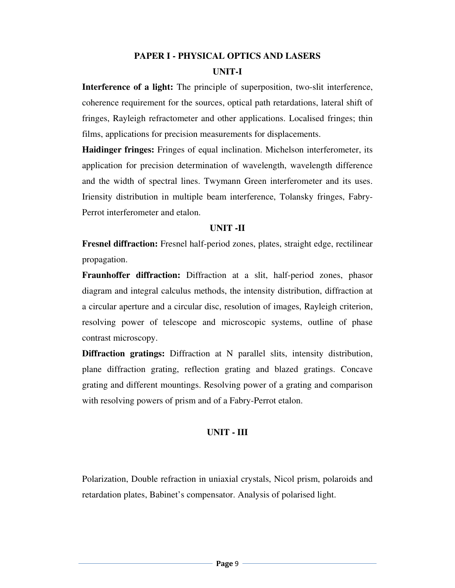# **PAPER I - PHYSICAL OPTICS AND LASERS UNIT-I**

**Interference of a light:** The principle of superposition, two-slit interference, coherence requirement for the sources, optical path retardations, lateral shift of fringes, Rayleigh refractometer and other applications. Localised fringes; thin films, applications for precision measurements for displacements.

**Haidinger fringes:** Fringes of equal inclination. Michelson interferometer, its application for precision determination of wavelength, wavelength difference and the width of spectral lines. Twymann Green interferometer and its uses. Iriensity distribution in multiple beam interference, Tolansky fringes, Fabry-Perrot interferometer and etalon.

### **UNIT -II**

**Fresnel diffraction:** Fresnel half-period zones, plates, straight edge, rectilinear propagation.

**Fraunhoffer diffraction:** Diffraction at a slit, half-period zones, phasor diagram and integral calculus methods, the intensity distribution, diffraction at a circular aperture and a circular disc, resolution of images, Rayleigh criterion, resolving power of telescope and microscopic systems, outline of phase contrast microscopy.

**Diffraction gratings:** Diffraction at N parallel slits, intensity distribution, plane diffraction grating, reflection grating and blazed gratings. Concave grating and different mountings. Resolving power of a grating and comparison with resolving powers of prism and of a Fabry-Perrot etalon.

# **UNIT - III**

Polarization, Double refraction in uniaxial crystals, Nicol prism, polaroids and retardation plates, Babinet's compensator. Analysis of polarised light.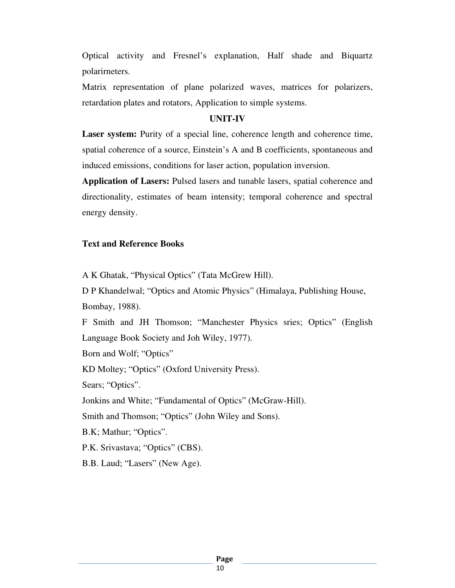Optical activity and Fresnel's explanation, Half shade and Biquartz polarirneters.

Matrix representation of plane polarized waves, matrices for polarizers, retardation plates and rotators, Application to simple systems.

#### **UNIT-IV**

**Laser system:** Purity of a special line, coherence length and coherence time, spatial coherence of a source, Einstein's A and B coefficients, spontaneous and induced emissions, conditions for laser action, population inversion.

**Application of Lasers:** Pulsed lasers and tunable lasers, spatial coherence and directionality, estimates of beam intensity; temporal coherence and spectral energy density.

#### **Text and Reference Books**

A K Ghatak, "Physical Optics" (Tata McGrew Hill).

D P Khandelwal; "Optics and Atomic Physics" (Himalaya, Publishing House, Bombay, 1988).

F Smith and JH Thomson; "Manchester Physics sries; Optics" (English Language Book Society and Joh Wiley, 1977).

Born and Wolf; "Optics"

KD Moltey; "Optics" (Oxford University Press).

Sears; "Optics".

Jonkins and White; "Fundamental of Optics" (McGraw-Hill).

Smith and Thomson; "Optics" (John Wiley and Sons).

B.K; Mathur; "Optics".

P.K. Srivastava; "Optics" (CBS).

B.B. Laud; "Lasers" (New Age).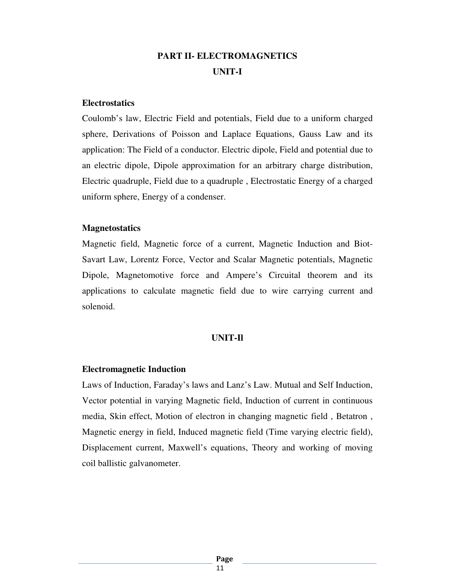# **PART II- ELECTROMAGNETICS UNIT-I**

#### **Electrostatics**

Coulomb's law, Electric Field and potentials, Field due to a uniform charged sphere, Derivations of Poisson and Laplace Equations, Gauss Law and its application: The Field of a conductor. Electric dipole, Field and potential due to an electric dipole, Dipole approximation for an arbitrary charge distribution, Electric quadruple, Field due to a quadruple , Electrostatic Energy of a charged uniform sphere, Energy of a condenser.

#### **Magnetostatics**

Magnetic field, Magnetic force of a current, Magnetic Induction and Biot-Savart Law, Lorentz Force, Vector and Scalar Magnetic potentials, Magnetic Dipole, Magnetomotive force and Ampere's Circuital theorem and its applications to calculate magnetic field due to wire carrying current and solenoid.

# **UNIT-Il**

# **Electromagnetic Induction**

Laws of Induction, Faraday's laws and Lanz's Law. Mutual and Self Induction, Vector potential in varying Magnetic field, Induction of current in continuous media, Skin effect, Motion of electron in changing magnetic field , Betatron , Magnetic energy in field, Induced magnetic field (Time varying electric field), Displacement current, Maxwell's equations, Theory and working of moving coil ballistic galvanometer.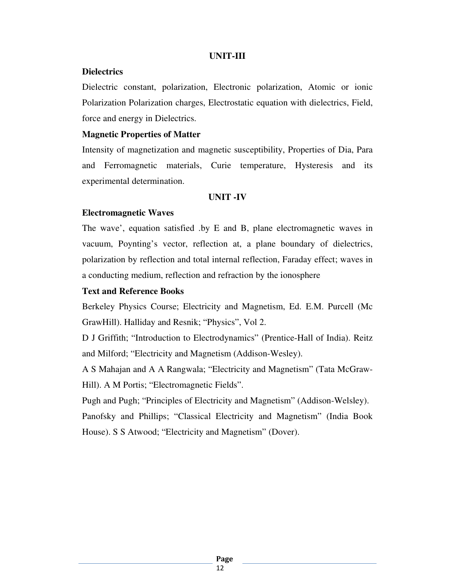### **UNIT-III**

### **Dielectrics**

Dielectric constant, polarization, Electronic polarization, Atomic or ionic Polarization Polarization charges, Electrostatic equation with dielectrics, Field, force and energy in Dielectrics.

### **Magnetic Properties of Matter**

Intensity of magnetization and magnetic susceptibility, Properties of Dia, Para and Ferromagnetic materials, Curie temperature, Hysteresis and its experimental determination.

### **UNIT -IV**

# **Electromagnetic Waves**

The wave', equation satisfied .by E and B, plane electromagnetic waves in vacuum, Poynting's vector, reflection at, a plane boundary of dielectrics, polarization by reflection and total internal reflection, Faraday effect; waves in a conducting medium, reflection and refraction by the ionosphere

## **Text and Reference Books**

Berkeley Physics Course; Electricity and Magnetism, Ed. E.M. Purcell (Mc GrawHill). Halliday and Resnik; "Physics", Vol 2.

D J Griffith; "Introduction to Electrodynamics" (Prentice-Hall of India). Reitz and Milford; "Electricity and Magnetism (Addison-Wesley).

A S Mahajan and A A Rangwala; "Electricity and Magnetism" (Tata McGraw-Hill). A M Portis; "Electromagnetic Fields".

Pugh and Pugh; "Principles of Electricity and Magnetism" (Addison-Welsley). Panofsky and Phillips; "Classical Electricity and Magnetism" (India Book House). S S Atwood; "Electricity and Magnetism" (Dover).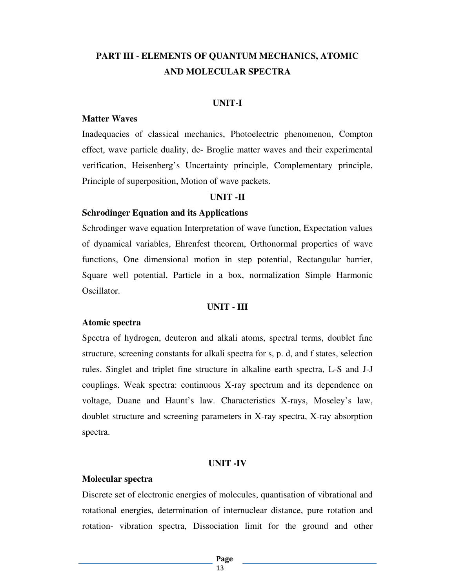# **PART III - ELEMENTS OF QUANTUM MECHANICS, ATOMIC AND MOLECULAR SPECTRA**

#### **UNIT-I**

#### **Matter Waves**

Inadequacies of classical mechanics, Photoelectric phenomenon, Compton effect, wave particle duality, de- Broglie matter waves and their experimental verification, Heisenberg's Uncertainty principle, Complementary principle, Principle of superposition, Motion of wave packets.

#### **UNIT -II**

#### **Schrodinger Equation and its Applications**

Schrodinger wave equation Interpretation of wave function, Expectation values of dynamical variables, Ehrenfest theorem, Orthonormal properties of wave functions, One dimensional motion in step potential, Rectangular barrier, Square well potential, Particle in a box, normalization Simple Harmonic Oscillator.

# **UNIT - III**

#### **Atomic spectra**

Spectra of hydrogen, deuteron and alkali atoms, spectral terms, doublet fine structure, screening constants for alkali spectra for s, p. d, and f states, selection rules. Singlet and triplet fine structure in alkaline earth spectra, L-S and J-J couplings. Weak spectra: continuous X-ray spectrum and its dependence on voltage, Duane and Haunt's law. Characteristics X-rays, Moseley's law, doublet structure and screening parameters in X-ray spectra, X-ray absorption spectra.

#### **UNIT -IV**

#### **Molecular spectra**

Discrete set of electronic energies of molecules, quantisation of vibrational and rotational energies, determination of internuclear distance, pure rotation and rotation- vibration spectra, Dissociation limit for the ground and other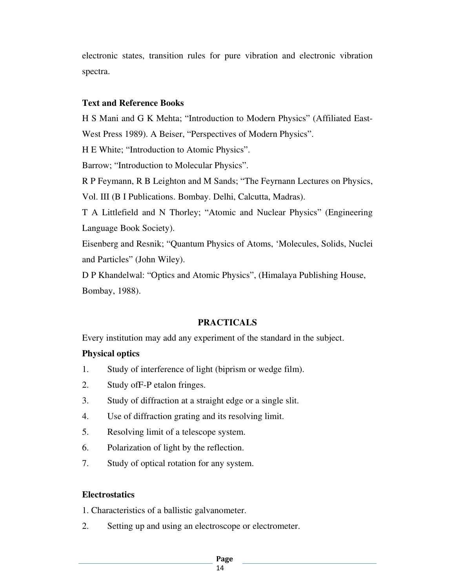electronic states, transition rules for pure vibration and electronic vibration spectra.

### **Text and Reference Books**

H S Mani and G K Mehta; "Introduction to Modern Physics" (Affiliated East-West Press 1989). A Beiser, "Perspectives of Modern Physics". H E White; "Introduction to Atomic Physics". Barrow; "Introduction to Molecular Physics". R P Feymann, R B Leighton and M Sands; "The Feyrnann Lectures on Physics, Vol. III (B I Publications. Bombay. Delhi, Calcutta, Madras). T A Littlefield and N Thorley; "Atomic and Nuclear Physics" (Engineering Language Book Society). Eisenberg and Resnik; "Quantum Physics of Atoms, 'Molecules, Solids, Nuclei and Particles" (John Wiley).

D P Khandelwal: "Optics and Atomic Physics", (Himalaya Publishing House, Bombay, 1988).

# **PRACTICALS**

Every institution may add any experiment of the standard in the subject.

# **Physical optics**

- 1. Study of interference of light (biprism or wedge film).
- 2. Study ofF-P etalon fringes.
- 3. Study of diffraction at a straight edge or a single slit.
- 4. Use of diffraction grating and its resolving limit.
- 5. Resolving limit of a telescope system.
- 6. Polarization of light by the reflection.
- 7. Study of optical rotation for any system.

# **Electrostatics**

1. Characteristics of a ballistic galvanometer.

2. Setting up and using an electroscope or electrometer.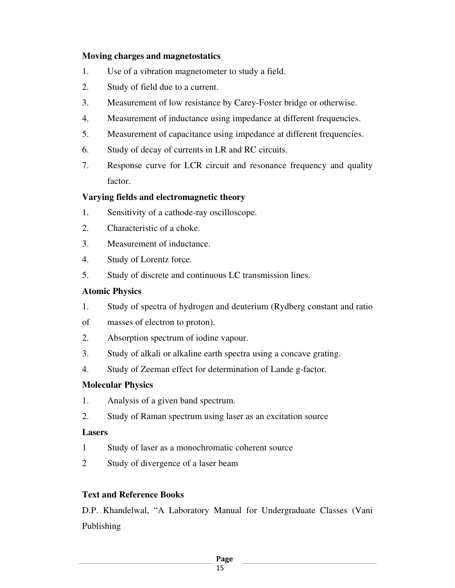# **Moving charges and magnetostatics**

- 1. Use of a vibration magnetometer to study a field.
- 2. Study of field due to a current.
- 3. Measurement of low resistance by Carey-Foster bridge or otherwise.
- 4. Measurement of inductance using impedance at different frequencies.
- 5. Measurement of capacitance using impedance at different frequencies.
- 6. Study of decay of currents in LR and RC circuits.
- 7. Response curve for LCR circuit and resonance frequency and quality factor.

# **Varying fields and electromagnetic theory**

- 1. Sensitivity of a cathode-ray oscilloscope.
- 2. Characteristic of a choke.
- 3. Measurement of inductance.
- 4. Study of Lorentz force.
- 5. Study of discrete and continuous LC transmission lines.

# **Atomic Physics**

- 1. Study of spectra of hydrogen and deuterium (Rydberg constant and ratio
- of masses of electron to proton).
- 2. Absorption spectrum of iodine vapour.
- 3. Study of alkali or alkaline earth spectra using a concave grating.
- 4. Study of Zeeman effect for determination of Lande g-factor.

# **Molecular Physics**

- 1. Analysis of a given band spectrum.
- 2. Study of Raman spectrum using laser as an excitation source

# **Lasers**

- 1 Study of laser as a monochromatic coherent source
- 2 Study of divergence of a laser beam

# **Text and Reference Books**

D.P. Khandelwal, "A Laboratory Manual for Undergraduate Classes (Vani Publishing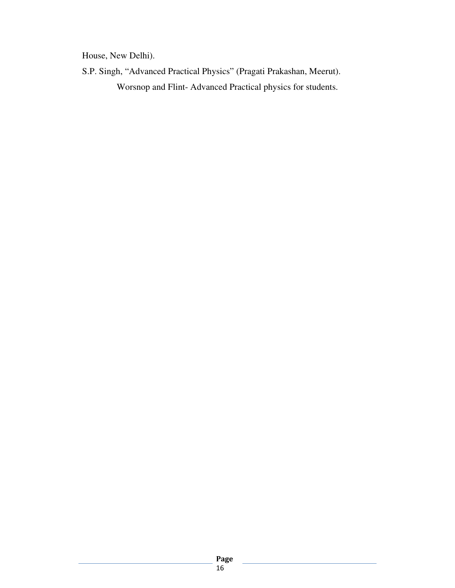House, New Delhi).

S.P. Singh, "Advanced Practical Physics" (Pragati Prakashan, Meerut). Worsnop and Flint- Advanced Practical physics for students.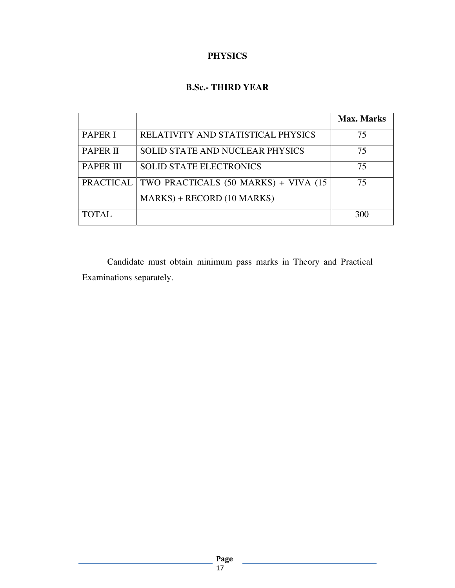# **PHYSICS**

# **B.Sc.- THIRD YEAR**

|                  |                                        | <b>Max. Marks</b> |
|------------------|----------------------------------------|-------------------|
| <b>PAPER I</b>   | RELATIVITY AND STATISTICAL PHYSICS     | 75                |
| <b>PAPER II</b>  | <b>SOLID STATE AND NUCLEAR PHYSICS</b> | 75                |
| <b>PAPER III</b> | <b>SOLID STATE ELECTRONICS</b>         | 75                |
| <b>PRACTICAL</b> | TWO PRACTICALS (50 MARKS) + VIVA (15   | 75                |
|                  | $MARKS$ + RECORD (10 MARKS)            |                   |
| <b>TOTAL</b>     |                                        | 300               |

 Candidate must obtain minimum pass marks in Theory and Practical Examinations separately.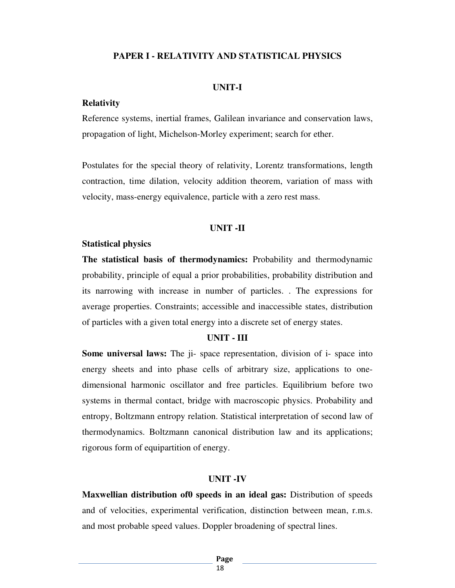#### **PAPER I - RELATIVITY AND STATISTICAL PHYSICS**

#### **UNIT-I**

#### **Relativity**

Reference systems, inertial frames, Galilean invariance and conservation laws, propagation of light, Michelson-Morley experiment; search for ether.

Postulates for the special theory of relativity, Lorentz transformations, length contraction, time dilation, velocity addition theorem, variation of mass with velocity, mass-energy equivalence, particle with a zero rest mass.

#### **UNIT -II**

#### **Statistical physics**

**The statistical basis of thermodynamics:** Probability and thermodynamic probability, principle of equal a prior probabilities, probability distribution and its narrowing with increase in number of particles. . The expressions for average properties. Constraints; accessible and inaccessible states, distribution of particles with a given total energy into a discrete set of energy states.

#### **UNIT - III**

**Some universal laws:** The ji- space representation, division of i- space into energy sheets and into phase cells of arbitrary size, applications to onedimensional harmonic oscillator and free particles. Equilibrium before two systems in thermal contact, bridge with macroscopic physics. Probability and entropy, Boltzmann entropy relation. Statistical interpretation of second law of thermodynamics. Boltzmann canonical distribution law and its applications; rigorous form of equipartition of energy.

#### **UNIT -IV**

**Maxwellian distribution of0 speeds in an ideal gas:** Distribution of speeds and of velocities, experimental verification, distinction between mean, r.m.s. and most probable speed values. Doppler broadening of spectral lines.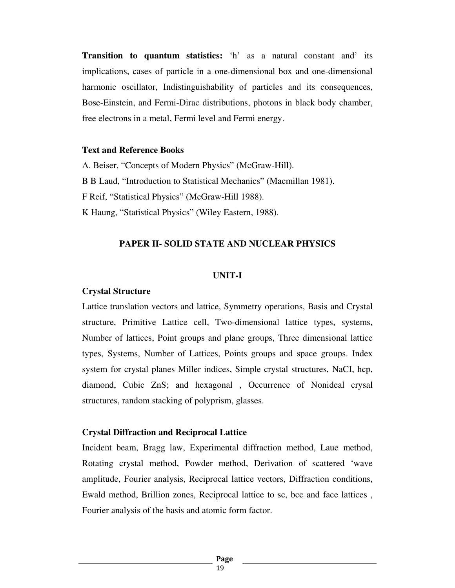**Transition to quantum statistics:** 'h' as a natural constant and' its implications, cases of particle in a one-dimensional box and one-dimensional harmonic oscillator, Indistinguishability of particles and its consequences, Bose-Einstein, and Fermi-Dirac distributions, photons in black body chamber, free electrons in a metal, Fermi level and Fermi energy.

#### **Text and Reference Books**

A. Beiser, "Concepts of Modern Physics" (McGraw-Hill). B B Laud, "Introduction to Statistical Mechanics" (Macmillan 1981). F Reif, "Statistical Physics" (McGraw-Hill 1988). K Haung, "Statistical Physics" (Wiley Eastern, 1988).

#### **PAPER II- SOLID STATE AND NUCLEAR PHYSICS**

#### **UNIT-I**

#### **Crystal Structure**

Lattice translation vectors and lattice, Symmetry operations, Basis and Crystal structure, Primitive Lattice cell, Two-dimensional lattice types, systems, Number of lattices, Point groups and plane groups, Three dimensional lattice types, Systems, Number of Lattices, Points groups and space groups. Index system for crystal planes Miller indices, Simple crystal structures, NaCI, hcp, diamond, Cubic ZnS; and hexagonal , Occurrence of Nonideal crysal structures, random stacking of polyprism, glasses.

#### **Crystal Diffraction and Reciprocal Lattice**

Incident beam, Bragg law, Experimental diffraction method, Laue method, Rotating crystal method, Powder method, Derivation of scattered 'wave amplitude, Fourier analysis, Reciprocal lattice vectors, Diffraction conditions, Ewald method, Brillion zones, Reciprocal lattice to sc, bcc and face lattices , Fourier analysis of the basis and atomic form factor.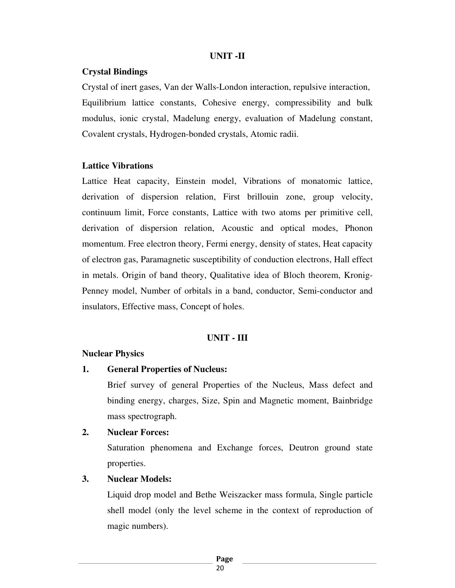#### **UNIT -II**

#### **Crystal Bindings**

Crystal of inert gases, Van der Walls-London interaction, repulsive interaction, Equilibrium lattice constants, Cohesive energy, compressibility and bulk modulus, ionic crystal, Madelung energy, evaluation of Madelung constant, Covalent crystals, Hydrogen-bonded crystals, Atomic radii.

#### **Lattice Vibrations**

Lattice Heat capacity, Einstein model, Vibrations of monatomic lattice, derivation of dispersion relation, First brillouin zone, group velocity, continuum limit, Force constants, Lattice with two atoms per primitive cell, derivation of dispersion relation, Acoustic and optical modes, Phonon momentum. Free electron theory, Fermi energy, density of states, Heat capacity of electron gas, Paramagnetic susceptibility of conduction electrons, Hall effect in metals. Origin of band theory, Qualitative idea of Bloch theorem, Kronig-Penney model, Number of orbitals in a band, conductor, Semi-conductor and insulators, Effective mass, Concept of holes.

#### **UNIT - III**

#### **Nuclear Physics**

#### **1. General Properties of Nucleus:**

 Brief survey of general Properties of the Nucleus, Mass defect and binding energy, charges, Size, Spin and Magnetic moment, Bainbridge mass spectrograph.

#### **2. Nuclear Forces:**

 Saturation phenomena and Exchange forces, Deutron ground state properties.

#### **3. Nuclear Models:**

 Liquid drop model and Bethe Weiszacker mass formula, Single particle shell model (only the level scheme in the context of reproduction of magic numbers).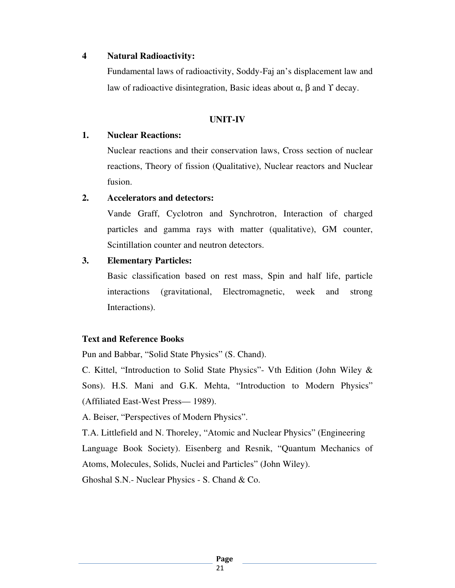### **4 Natural Radioactivity:**

 Fundamental laws of radioactivity, Soddy-Faj an's displacement law and law of radioactive disintegration, Basic ideas about  $\alpha$ , β and  $\gamma$  decay.

### **UNIT-IV**

### **1. Nuclear Reactions:**

Nuclear reactions and their conservation laws, Cross section of nuclear reactions, Theory of fission (Qualitative), Nuclear reactors and Nuclear fusion.

### **2. Accelerators and detectors:**

 Vande Graff, Cyclotron and Synchrotron, Interaction of charged particles and gamma rays with matter (qualitative), GM counter, Scintillation counter and neutron detectors.

### **3. Elementary Particles:**

 Basic classification based on rest mass, Spin and half life, particle interactions (gravitational, Electromagnetic, week and strong Interactions).

# **Text and Reference Books**

Pun and Babbar, "Solid State Physics" (S. Chand).

C. Kittel, "Introduction to Solid State Physics"- Vth Edition (John Wiley & Sons). H.S. Mani and G.K. Mehta, "Introduction to Modern Physics" (Affiliated East-West Press— 1989).

A. Beiser, "Perspectives of Modern Physics".

T.A. Littlefield and N. Thoreley, "Atomic and Nuclear Physics" (Engineering Language Book Society). Eisenberg and Resnik, "Quantum Mechanics of Atoms, Molecules, Solids, Nuclei and Particles" (John Wiley).

Ghoshal S.N.- Nuclear Physics - S. Chand & Co.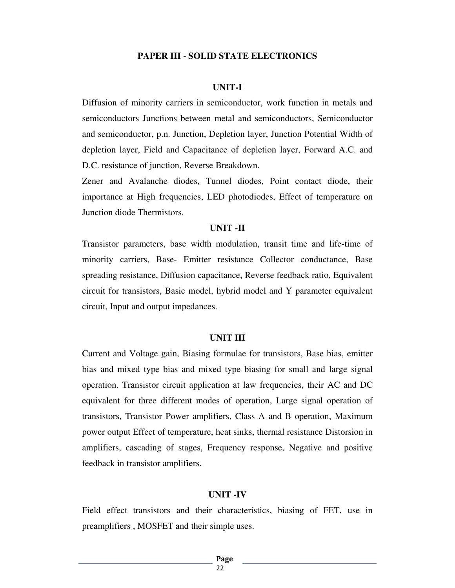#### **PAPER III - SOLID STATE ELECTRONICS**

#### **UNIT-I**

Diffusion of minority carriers in semiconductor, work function in metals and semiconductors Junctions between metal and semiconductors, Semiconductor and semiconductor, p.n. Junction, Depletion layer, Junction Potential Width of depletion layer, Field and Capacitance of depletion layer, Forward A.C. and D.C. resistance of junction, Reverse Breakdown.

Zener and Avalanche diodes, Tunnel diodes, Point contact diode, their importance at High frequencies, LED photodiodes, Effect of temperature on Junction diode Thermistors.

#### **UNIT -II**

Transistor parameters, base width modulation, transit time and life-time of minority carriers, Base- Emitter resistance Collector conductance, Base spreading resistance, Diffusion capacitance, Reverse feedback ratio, Equivalent circuit for transistors, Basic model, hybrid model and Y parameter equivalent circuit, Input and output impedances.

#### **UNIT III**

Current and Voltage gain, Biasing formulae for transistors, Base bias, emitter bias and mixed type bias and mixed type biasing for small and large signal operation. Transistor circuit application at law frequencies, their AC and DC equivalent for three different modes of operation, Large signal operation of transistors, Transistor Power amplifiers, Class A and B operation, Maximum power output Effect of temperature, heat sinks, thermal resistance Distorsion in amplifiers, cascading of stages, Frequency response, Negative and positive feedback in transistor amplifiers.

#### **UNIT -IV**

Field effect transistors and their characteristics, biasing of FET, use in preamplifiers , MOSFET and their simple uses.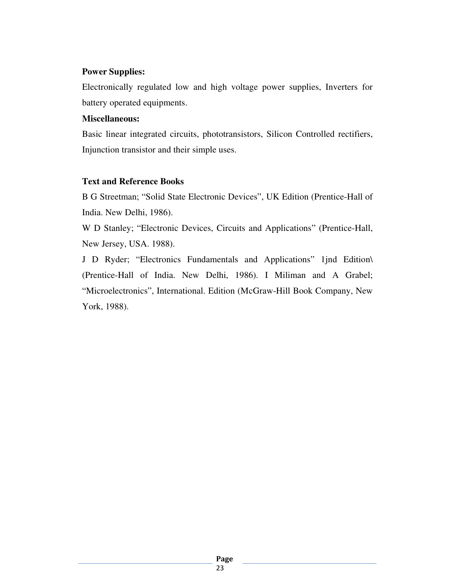# **Power Supplies:**

Electronically regulated low and high voltage power supplies, Inverters for battery operated equipments.

#### **Miscellaneous:**

Basic linear integrated circuits, phototransistors, Silicon Controlled rectifiers, Injunction transistor and their simple uses.

# **Text and Reference Books**

B G Streetman; "Solid State Electronic Devices", UK Edition (Prentice-Hall of India. New Delhi, 1986).

W D Stanley; "Electronic Devices, Circuits and Applications" (Prentice-Hall, New Jersey, USA. 1988).

J D Ryder; "Electronics Fundamentals and Applications" 1jnd Edition\ (Prentice-Hall of India. New Delhi, 1986). I Miliman and A Grabel; "Microelectronics", International. Edition (McGraw-Hill Book Company, New York, 1988).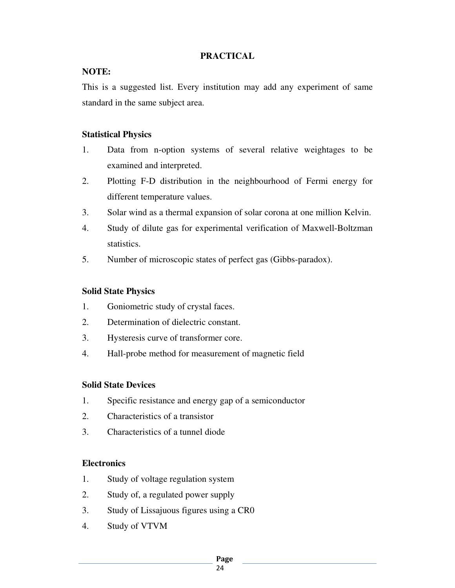# **PRACTICAL**

# **NOTE:**

This is a suggested list. Every institution may add any experiment of same standard in the same subject area.

## **Statistical Physics**

- 1. Data from n-option systems of several relative weightages to be examined and interpreted.
- 2. Plotting F-D distribution in the neighbourhood of Fermi energy for different temperature values.
- 3. Solar wind as a thermal expansion of solar corona at one million Kelvin.
- 4. Study of dilute gas for experimental verification of Maxwell-Boltzman statistics.
- 5. Number of microscopic states of perfect gas (Gibbs-paradox).

# **Solid State Physics**

- 1. Goniometric study of crystal faces.
- 2. Determination of dielectric constant.
- 3. Hysteresis curve of transformer core.
- 4. Hall-probe method for measurement of magnetic field

# **Solid State Devices**

- 1. Specific resistance and energy gap of a semiconductor
- 2. Characteristics of a transistor
- 3. Characteristics of a tunnel diode

# **Electronics**

- 1. Study of voltage regulation system
- 2. Study of, a regulated power supply
- 3. Study of Lissajuous figures using a CR0
- 4. Study of VTVM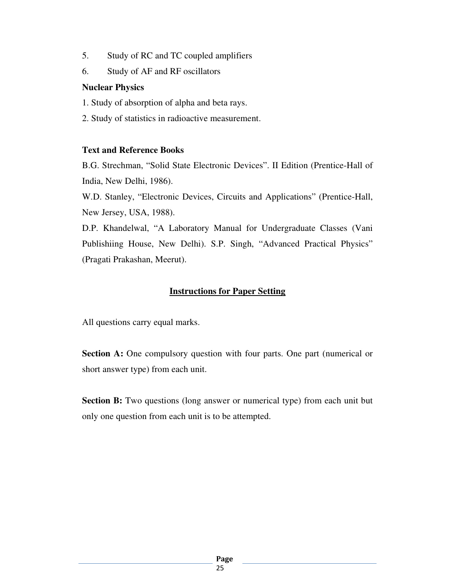- 5. Study of RC and TC coupled amplifiers
- 6. Study of AF and RF oscillators

#### **Nuclear Physics**

- 1. Study of absorption of alpha and beta rays.
- 2. Study of statistics in radioactive measurement.

### **Text and Reference Books**

B.G. Strechman, "Solid State Electronic Devices". II Edition (Prentice-Hall of India, New Delhi, 1986).

W.D. Stanley, "Electronic Devices, Circuits and Applications" (Prentice-Hall, New Jersey, USA, 1988).

D.P. Khandelwal, "A Laboratory Manual for Undergraduate Classes (Vani Publishiing House, New Delhi). S.P. Singh, "Advanced Practical Physics" (Pragati Prakashan, Meerut).

# **Instructions for Paper Setting**

All questions carry equal marks.

**Section A:** One compulsory question with four parts. One part (numerical or short answer type) from each unit.

**Section B:** Two questions (long answer or numerical type) from each unit but only one question from each unit is to be attempted.